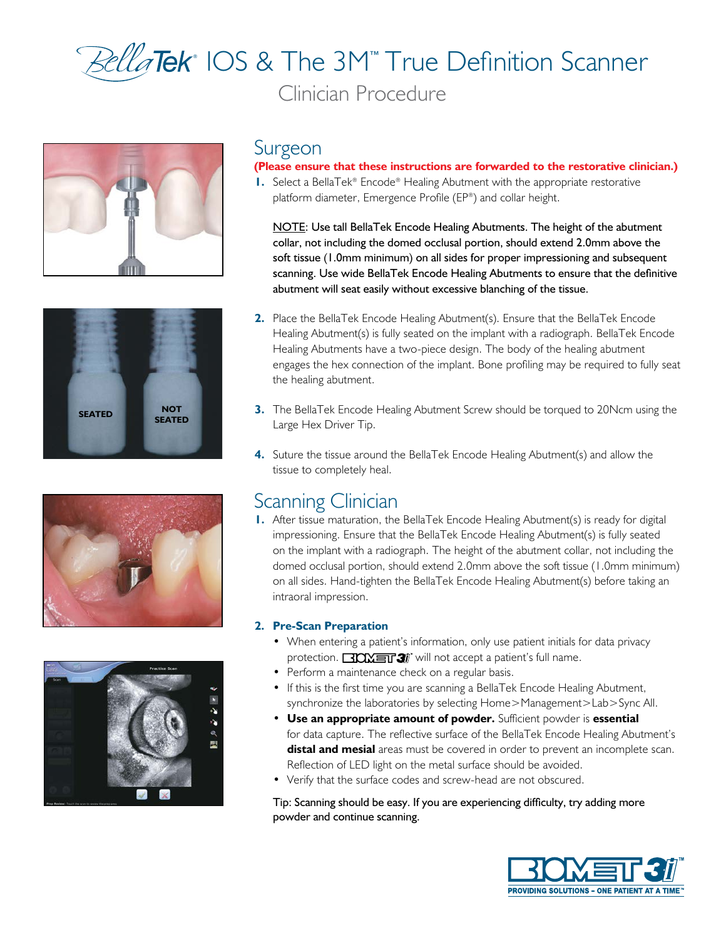# ® IOS & The 3M™ True Definition Scanner Clinician Procedure









### Surgeon

#### **(Please ensure that these instructions are forwarded to the restorative clinician.)**

**1.** Select a BellaTek® Encode® Healing Abutment with the appropriate restorative platform diameter, Emergence Profile (EP®) and collar height.

NOTE: Use tall BellaTek Encode Healing Abutments. The height of the abutment collar, not including the domed occlusal portion, should extend 2.0mm above the soft tissue (1.0mm minimum) on all sides for proper impressioning and subsequent scanning. Use wide BellaTek Encode Healing Abutments to ensure that the definitive abutment will seat easily without excessive blanching of the tissue.

- **2.** Place the BellaTek Encode Healing Abutment(s). Ensure that the BellaTek Encode Healing Abutment(s) is fully seated on the implant with a radiograph. BellaTek Encode Healing Abutments have a two-piece design. The body of the healing abutment engages the hex connection of the implant. Bone profiling may be required to fully seat the healing abutment.
- **3.** The BellaTek Encode Healing Abutment Screw should be torqued to 20Ncm using the Large Hex Driver Tip.
- **4.** Suture the tissue around the BellaTek Encode Healing Abutment(s) and allow the tissue to completely heal.

## Scanning Clinician

**1.** After tissue maturation, the BellaTek Encode Healing Abutment(s) is ready for digital impressioning. Ensure that the BellaTek Encode Healing Abutment(s) is fully seated on the implant with a radiograph. The height of the abutment collar, not including the domed occlusal portion, should extend 2.0mm above the soft tissue (1.0mm minimum) on all sides. Hand-tighten the BellaTek Encode Healing Abutment(s) before taking an intraoral impression.

#### **2. Pre-Scan Preparation**

- When entering a patient's information, only use patient initials for data privacy protection.  $\Box$   $\Box \Box \Box \Box$  will not accept a patient's full name.
- Perform a maintenance check on a regular basis.
- If this is the first time you are scanning a BellaTek Encode Healing Abutment, synchronize the laboratories by selecting Home>Management>Lab>Sync All.
- **Use an appropriate amount of powder.** Sufficient powder is **essential** for data capture. The reflective surface of the BellaTek Encode Healing Abutment's **distal and mesial** areas must be covered in order to prevent an incomplete scan. Reflection of LED light on the metal surface should be avoided.
- Verify that the surface codes and screw-head are not obscured.

Tip: Scanning should be easy. If you are experiencing difficulty, try adding more powder and continue scanning.